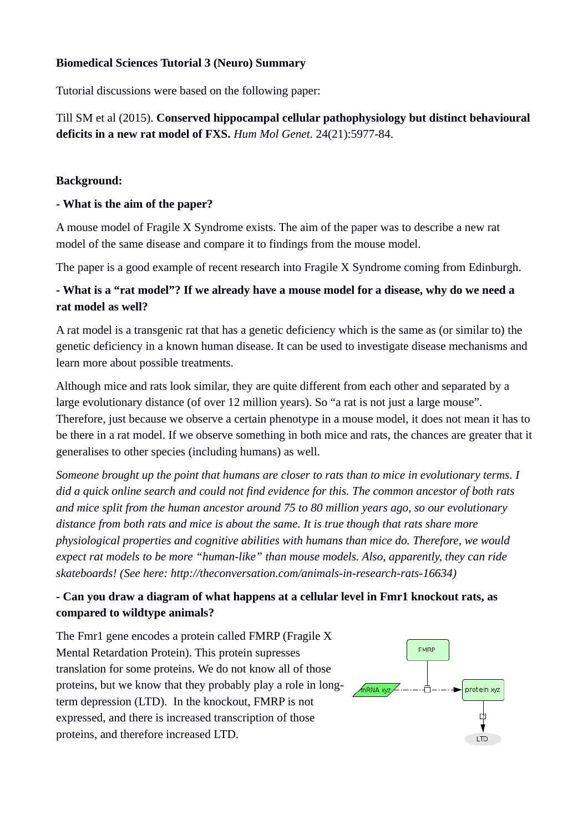### **Biomedical Sciences Tutorial 3 (Neuro) Summary**

Tutorial discussions were based on the following paper:

Till SM et al (2015). **Conserved hippocampal cellular pathophysiology but distinct behavioural deficits in a new rat model of FXS.** *Hum Mol Genet.* 24(21):5977-84.

#### **Background:**

### **- What is the aim of the paper?**

A mouse model of Fragile X Syndrome exists. The aim of the paper was to describe a new rat model of the same disease and compare it to findings from the mouse model.

The paper is a good example of recent research into Fragile X Syndrome coming from Edinburgh.

# **- What is a "rat model"? If we already have a mouse model for a disease, why do we need a rat model as well?**

A rat model is a transgenic rat that has a genetic deficiency which is the same as (or similar to) the genetic deficiency in a known human disease. It can be used to investigate disease mechanisms and learn more about possible treatments.

Although mice and rats look similar, they are quite different from each other and separated by a large evolutionary distance (of over 12 million years). So "a rat is not just a large mouse". Therefore, just because we observe a certain phenotype in a mouse model, it does not mean it has to be there in a rat model. If we observe something in both mice and rats, the chances are greater that it generalises to other species (including humans) as well.

*Someone brought up the point that humans are closer to rats than to mice in evolutionary terms. I did a quick online search and could not find evidence for this. The common ancestor of both rats and mice split from the human ancestor around 75 to 80 million years ago, so our evolutionary distance from both rats and mice is about the same. It is true though that rats share more physiological properties and cognitive abilities with humans than mice do. Therefore, we would expect rat models to be more "human-like" than mouse models. Also, apparently, they can ride skateboards! (See here: http://theconversation.com/animals-in-research-rats-16634)*

# **- Can you draw a diagram of what happens at a cellular level in Fmr1 knockout rats, as compared to wildtype animals?**

The Fmr1 gene encodes a protein called FMRP (Fragile X Mental Retardation Protein). This protein supresses translation for some proteins. We do not know all of those proteins, but we know that they probably play a role in longterm depression (LTD). In the knockout, FMRP is not expressed, and there is increased transcription of those proteins, and therefore increased LTD.

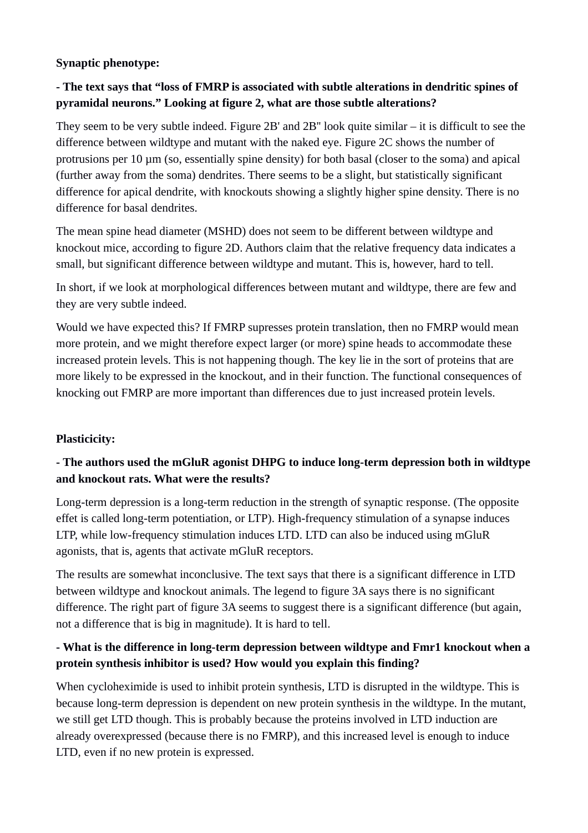### **Synaptic phenotype:**

# **- The text says that "loss of FMRP is associated with subtle alterations in dendritic spines of pyramidal neurons." Looking at figure 2, what are those subtle alterations?**

They seem to be very subtle indeed. Figure 2B' and 2B'' look quite similar – it is difficult to see the difference between wildtype and mutant with the naked eye. Figure 2C shows the number of protrusions per 10 µm (so, essentially spine density) for both basal (closer to the soma) and apical (further away from the soma) dendrites. There seems to be a slight, but statistically significant difference for apical dendrite, with knockouts showing a slightly higher spine density. There is no difference for basal dendrites.

The mean spine head diameter (MSHD) does not seem to be different between wildtype and knockout mice, according to figure 2D. Authors claim that the relative frequency data indicates a small, but significant difference between wildtype and mutant. This is, however, hard to tell.

In short, if we look at morphological differences between mutant and wildtype, there are few and they are very subtle indeed.

Would we have expected this? If FMRP supresses protein translation, then no FMRP would mean more protein, and we might therefore expect larger (or more) spine heads to accommodate these increased protein levels. This is not happening though. The key lie in the sort of proteins that are more likely to be expressed in the knockout, and in their function. The functional consequences of knocking out FMRP are more important than differences due to just increased protein levels.

### **Plasticicity:**

# **- The authors used the mGluR agonist DHPG to induce long-term depression both in wildtype and knockout rats. What were the results?**

Long-term depression is a long-term reduction in the strength of synaptic response. (The opposite effet is called long-term potentiation, or LTP). High-frequency stimulation of a synapse induces LTP, while low-frequency stimulation induces LTD. LTD can also be induced using mGluR agonists, that is, agents that activate mGluR receptors.

The results are somewhat inconclusive. The text says that there is a significant difference in LTD between wildtype and knockout animals. The legend to figure 3A says there is no significant difference. The right part of figure 3A seems to suggest there is a significant difference (but again, not a difference that is big in magnitude). It is hard to tell.

# **- What is the difference in long-term depression between wildtype and Fmr1 knockout when a protein synthesis inhibitor is used? How would you explain this finding?**

When cycloheximide is used to inhibit protein synthesis, LTD is disrupted in the wildtype. This is because long-term depression is dependent on new protein synthesis in the wildtype. In the mutant, we still get LTD though. This is probably because the proteins involved in LTD induction are already overexpressed (because there is no FMRP), and this increased level is enough to induce LTD, even if no new protein is expressed.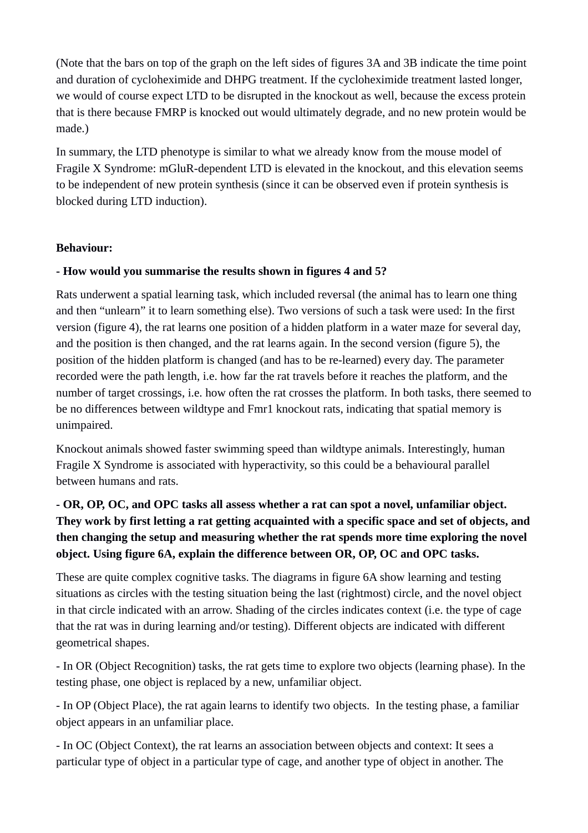(Note that the bars on top of the graph on the left sides of figures 3A and 3B indicate the time point and duration of cycloheximide and DHPG treatment. If the cycloheximide treatment lasted longer, we would of course expect LTD to be disrupted in the knockout as well, because the excess protein that is there because FMRP is knocked out would ultimately degrade, and no new protein would be made.)

In summary, the LTD phenotype is similar to what we already know from the mouse model of Fragile X Syndrome: mGluR-dependent LTD is elevated in the knockout, and this elevation seems to be independent of new protein synthesis (since it can be observed even if protein synthesis is blocked during LTD induction).

### **Behaviour:**

### **- How would you summarise the results shown in figures 4 and 5?**

Rats underwent a spatial learning task, which included reversal (the animal has to learn one thing and then "unlearn" it to learn something else). Two versions of such a task were used: In the first version (figure 4), the rat learns one position of a hidden platform in a water maze for several day, and the position is then changed, and the rat learns again. In the second version (figure 5), the position of the hidden platform is changed (and has to be re-learned) every day. The parameter recorded were the path length, i.e. how far the rat travels before it reaches the platform, and the number of target crossings, i.e. how often the rat crosses the platform. In both tasks, there seemed to be no differences between wildtype and Fmr1 knockout rats, indicating that spatial memory is unimpaired.

Knockout animals showed faster swimming speed than wildtype animals. Interestingly, human Fragile X Syndrome is associated with hyperactivity, so this could be a behavioural parallel between humans and rats.

# **- OR, OP, OC, and OPC tasks all assess whether a rat can spot a novel, unfamiliar object. They work by first letting a rat getting acquainted with a specific space and set of objects, and then changing the setup and measuring whether the rat spends more time exploring the novel object. Using figure 6A, explain the difference between OR, OP, OC and OPC tasks.**

These are quite complex cognitive tasks. The diagrams in figure 6A show learning and testing situations as circles with the testing situation being the last (rightmost) circle, and the novel object in that circle indicated with an arrow. Shading of the circles indicates context (i.e. the type of cage that the rat was in during learning and/or testing). Different objects are indicated with different geometrical shapes.

- In OR (Object Recognition) tasks, the rat gets time to explore two objects (learning phase). In the testing phase, one object is replaced by a new, unfamiliar object.

- In OP (Object Place), the rat again learns to identify two objects. In the testing phase, a familiar object appears in an unfamiliar place.

- In OC (Object Context), the rat learns an association between objects and context: It sees a particular type of object in a particular type of cage, and another type of object in another. The